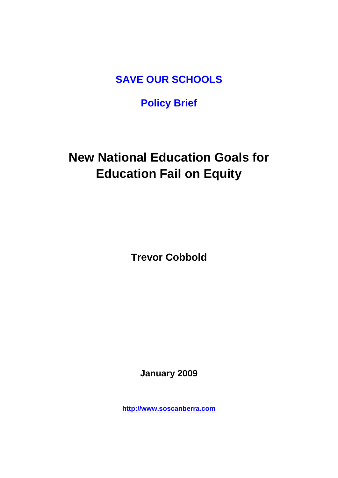**SAVE OUR SCHOOLS**

## **Policy Brief**

# **New National Education Goals for Education Fail on Equity**

**Trevor Cobbold**

**January 2009**

**[http://www.soscanberra.com](http://www.soscanberra.com/)**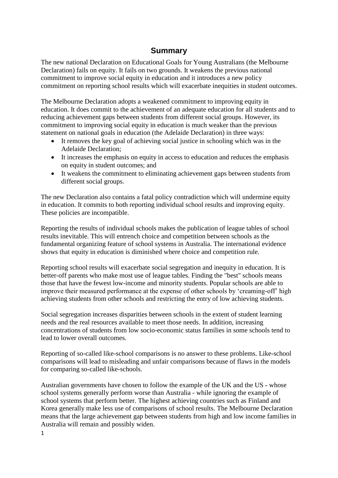## **Summary**

The new national Declaration on Educational Goals for Young Australians (the Melbourne Declaration) fails on equity. It fails on two grounds. It weakens the previous national commitment to improve social equity in education and it introduces a new policy commitment on reporting school results which will exacerbate inequities in student outcomes.

The Melbourne Declaration adopts a weakened commitment to improving equity in education. It does commit to the achievement of an adequate education for all students and to reducing achievement gaps between students from different social groups. However, its commitment to improving social equity in education is much weaker than the previous statement on national goals in education (the Adelaide Declaration) in three ways:

- It removes the key goal of achieving social justice in schooling which was in the Adelaide Declaration;
- It increases the emphasis on equity in access to education and reduces the emphasis on equity in student outcomes; and
- It weakens the commitment to eliminating achievement gaps between students from different social groups.

The new Declaration also contains a fatal policy contradiction which will undermine equity in education. It commits to both reporting individual school results and improving equity. These policies are incompatible.

Reporting the results of individual schools makes the publication of league tables of school results inevitable. This will entrench choice and competition between schools as the fundamental organizing feature of school systems in Australia. The international evidence shows that equity in education is diminished where choice and competition rule.

Reporting school results will exacerbate social segregation and inequity in education. It is better-off parents who make most use of league tables. Finding the "best" schools means those that have the fewest low-income and minority students. Popular schools are able to improve their measured performance at the expense of other schools by 'creaming-off' high achieving students from other schools and restricting the entry of low achieving students.

Social segregation increases disparities between schools in the extent of student learning needs and the real resources available to meet those needs. In addition, increasing concentrations of students from low socio-economic status families in some schools tend to lead to lower overall outcomes.

Reporting of so-called like-school comparisons is no answer to these problems. Like-school comparisons will lead to misleading and unfair comparisons because of flaws in the models for comparing so-called like-schools.

Australian governments have chosen to follow the example of the UK and the US - whose school systems generally perform worse than Australia - while ignoring the example of school systems that perform better. The highest achieving countries such as Finland and Korea generally make less use of comparisons of school results. The Melbourne Declaration means that the large achievement gap between students from high and low income families in Australia will remain and possibly widen.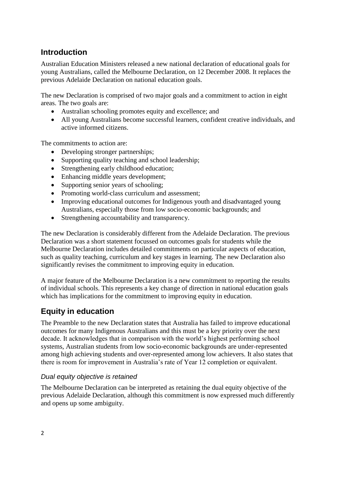## **Introduction**

Australian Education Ministers released a new national declaration of educational goals for young Australians, called the Melbourne Declaration, on 12 December 2008. It replaces the previous Adelaide Declaration on national education goals.

The new Declaration is comprised of two major goals and a commitment to action in eight areas. The two goals are:

- Australian schooling promotes equity and excellence; and
- All young Australians become successful learners, confident creative individuals, and active informed citizens.

The commitments to action are:

- Developing stronger partnerships;
- Supporting quality teaching and school leadership;
- Strengthening early childhood education;
- Enhancing middle years development;
- Supporting senior years of schooling;
- Promoting world-class curriculum and assessment;
- Improving educational outcomes for Indigenous youth and disadvantaged young Australians, especially those from low socio-economic backgrounds; and
- Strengthening accountability and transparency.

The new Declaration is considerably different from the Adelaide Declaration. The previous Declaration was a short statement focussed on outcomes goals for students while the Melbourne Declaration includes detailed commitments on particular aspects of education, such as quality teaching, curriculum and key stages in learning. The new Declaration also significantly revises the commitment to improving equity in education.

A major feature of the Melbourne Declaration is a new commitment to reporting the results of individual schools. This represents a key change of direction in national education goals which has implications for the commitment to improving equity in education.

## **Equity in education**

The Preamble to the new Declaration states that Australia has failed to improve educational outcomes for many Indigenous Australians and this must be a key priority over the next decade. It acknowledges that in comparison with the world's highest performing school systems, Australian students from low socio-economic backgrounds are under-represented among high achieving students and over-represented among low achievers. It also states that there is room for improvement in Australia's rate of Year 12 completion or equivalent.

#### *Dual equity objective is retained*

The Melbourne Declaration can be interpreted as retaining the dual equity objective of the previous Adelaide Declaration, although this commitment is now expressed much differently and opens up some ambiguity.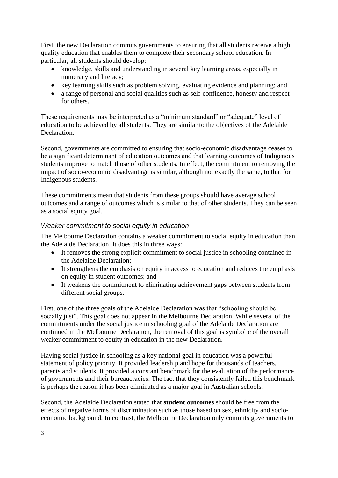First, the new Declaration commits governments to ensuring that all students receive a high quality education that enables them to complete their secondary school education. In particular, all students should develop:

- knowledge, skills and understanding in several key learning areas, especially in numeracy and literacy;
- key learning skills such as problem solving, evaluating evidence and planning; and
- a range of personal and social qualities such as self-confidence, honesty and respect for others.

These requirements may be interpreted as a "minimum standard" or "adequate" level of education to be achieved by all students. They are similar to the objectives of the Adelaide Declaration.

Second, governments are committed to ensuring that socio-economic disadvantage ceases to be a significant determinant of education outcomes and that learning outcomes of Indigenous students improve to match those of other students. In effect, the commitment to removing the impact of socio-economic disadvantage is similar, although not exactly the same, to that for Indigenous students.

These commitments mean that students from these groups should have average school outcomes and a range of outcomes which is similar to that of other students. They can be seen as a social equity goal.

#### *Weaker commitment to social equity in education*

The Melbourne Declaration contains a weaker commitment to social equity in education than the Adelaide Declaration. It does this in three ways:

- It removes the strong explicit commitment to social justice in schooling contained in the Adelaide Declaration;
- It strengthens the emphasis on equity in access to education and reduces the emphasis on equity in student outcomes; and
- It weakens the commitment to eliminating achievement gaps between students from different social groups.

First, one of the three goals of the Adelaide Declaration was that "schooling should be socially just". This goal does not appear in the Melbourne Declaration. While several of the commitments under the social justice in schooling goal of the Adelaide Declaration are continued in the Melbourne Declaration, the removal of this goal is symbolic of the overall weaker commitment to equity in education in the new Declaration.

Having social justice in schooling as a key national goal in education was a powerful statement of policy priority. It provided leadership and hope for thousands of teachers, parents and students. It provided a constant benchmark for the evaluation of the performance of governments and their bureaucracies. The fact that they consistently failed this benchmark is perhaps the reason it has been eliminated as a major goal in Australian schools.

Second, the Adelaide Declaration stated that **student outcomes** should be free from the effects of negative forms of discrimination such as those based on sex, ethnicity and socioeconomic background. In contrast, the Melbourne Declaration only commits governments to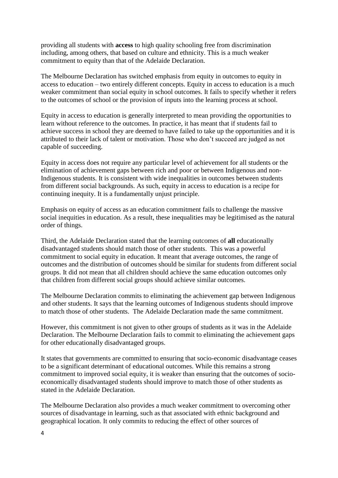providing all students with **access** to high quality schooling free from discrimination including, among others, that based on culture and ethnicity. This is a much weaker commitment to equity than that of the Adelaide Declaration.

The Melbourne Declaration has switched emphasis from equity in outcomes to equity in access to education – two entirely different concepts. Equity in access to education is a much weaker commitment than social equity in school outcomes. It fails to specify whether it refers to the outcomes of school or the provision of inputs into the learning process at school.

Equity in access to education is generally interpreted to mean providing the opportunities to learn without reference to the outcomes. In practice, it has meant that if students fail to achieve success in school they are deemed to have failed to take up the opportunities and it is attributed to their lack of talent or motivation. Those who don't succeed are judged as not capable of succeeding.

Equity in access does not require any particular level of achievement for all students or the elimination of achievement gaps between rich and poor or between Indigenous and non-Indigenous students. It is consistent with wide inequalities in outcomes between students from different social backgrounds. As such, equity in access to education is a recipe for continuing inequity. It is a fundamentally unjust principle.

Emphasis on equity of access as an education commitment fails to challenge the massive social inequities in education. As a result, these inequalities may be legitimised as the natural order of things.

Third, the Adelaide Declaration stated that the learning outcomes of **all** educationally disadvantaged students should match those of other students. This was a powerful commitment to social equity in education. It meant that average outcomes, the range of outcomes and the distribution of outcomes should be similar for students from different social groups. It did not mean that all children should achieve the same education outcomes only that children from different social groups should achieve similar outcomes.

The Melbourne Declaration commits to eliminating the achievement gap between Indigenous and other students. It says that the learning outcomes of Indigenous students should improve to match those of other students. The Adelaide Declaration made the same commitment.

However, this commitment is not given to other groups of students as it was in the Adelaide Declaration. The Melbourne Declaration fails to commit to eliminating the achievement gaps for other educationally disadvantaged groups.

It states that governments are committed to ensuring that socio-economic disadvantage ceases to be a significant determinant of educational outcomes. While this remains a strong commitment to improved social equity, it is weaker than ensuring that the outcomes of socioeconomically disadvantaged students should improve to match those of other students as stated in the Adelaide Declaration.

The Melbourne Declaration also provides a much weaker commitment to overcoming other sources of disadvantage in learning, such as that associated with ethnic background and geographical location. It only commits to reducing the effect of other sources of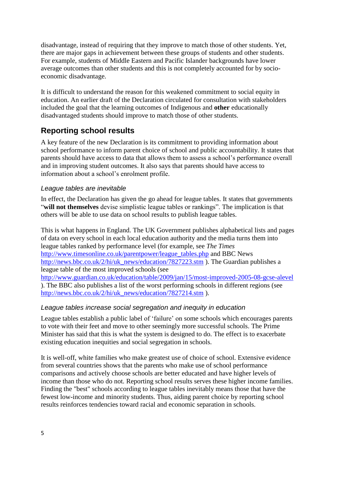disadvantage, instead of requiring that they improve to match those of other students. Yet, there are major gaps in achievement between these groups of students and other students. For example, students of Middle Eastern and Pacific Islander backgrounds have lower average outcomes than other students and this is not completely accounted for by socioeconomic disadvantage.

It is difficult to understand the reason for this weakened commitment to social equity in education. An earlier draft of the Declaration circulated for consultation with stakeholders included the goal that the learning outcomes of Indigenous and **other** educationally disadvantaged students should improve to match those of other students.

## **Reporting school results**

A key feature of the new Declaration is its commitment to providing information about school performance to inform parent choice of school and public accountability. It states that parents should have access to data that allows them to assess a school's performance overall and in improving student outcomes. It also says that parents should have access to information about a school's enrolment profile.

#### *League tables are inevitable*

In effect, the Declaration has given the go ahead for league tables. It states that governments "**will not themselves** devise simplistic league tables or rankings". The implication is that others will be able to use data on school results to publish league tables.

This is what happens in England. The UK Government publishes alphabetical lists and pages of data on every school in each local education authority and the media turns them into league tables ranked by performance level (for example, see *The Times* [http://www.timesonline.co.uk/parentpower/league\\_tables.php](http://www.timesonline.co.uk/parentpower/league_tables.php) and BBC News [http://news.bbc.co.uk/2/hi/uk\\_news/education/7827223.stm](http://news.bbc.co.uk/2/hi/uk_news/education/7827223.stm) ). The Guardian publishes a league table of the most improved schools (see <http://www.guardian.co.uk/education/table/2009/jan/15/most-improved-2005-08-gcse-alevel> ). The BBC also publishes a list of the worst performing schools in different regions (see [http://news.bbc.co.uk/2/hi/uk\\_news/education/7827214.stm](http://news.bbc.co.uk/2/hi/uk_news/education/7827214.stm) ).

#### *League tables increase social segregation and inequity in education*

League tables establish a public label of 'failure' on some schools which encourages parents to vote with their feet and move to other seemingly more successful schools. The Prime Minister has said that this is what the system is designed to do. The effect is to exacerbate existing education inequities and social segregation in schools.

It is well-off, white families who make greatest use of choice of school. Extensive evidence from several countries shows that the parents who make use of school performance comparisons and actively choose schools are better educated and have higher levels of income than those who do not. Reporting school results serves these higher income families. Finding the "best" schools according to league tables inevitably means those that have the fewest low-income and minority students. Thus, aiding parent choice by reporting school results reinforces tendencies toward racial and economic separation in schools.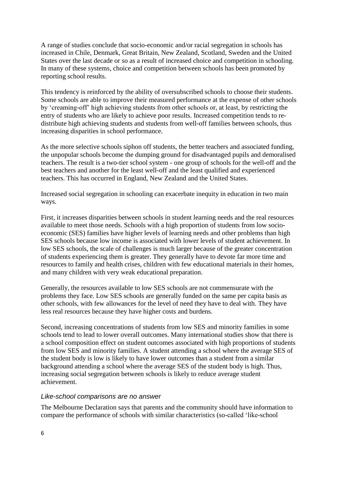A range of studies conclude that socio-economic and/or racial segregation in schools has increased in Chile, Denmark, Great Britain, New Zealand, Scotland, Sweden and the United States over the last decade or so as a result of increased choice and competition in schooling. In many of these systems, choice and competition between schools has been promoted by reporting school results.

This tendency is reinforced by the ability of oversubscribed schools to choose their students. Some schools are able to improve their measured performance at the expense of other schools by 'creaming-off' high achieving students from other schools or, at least, by restricting the entry of students who are likely to achieve poor results. Increased competition tends to redistribute high achieving students and students from well-off families between schools, thus increasing disparities in school performance.

As the more selective schools siphon off students, the better teachers and associated funding, the unpopular schools become the dumping ground for disadvantaged pupils and demoralised teachers. The result is a two-tier school system - one group of schools for the well-off and the best teachers and another for the least well-off and the least qualified and experienced teachers. This has occurred in England, New Zealand and the United States.

Increased social segregation in schooling can exacerbate inequity in education in two main ways.

First, it increases disparities between schools in student learning needs and the real resources available to meet those needs. Schools with a high proportion of students from low socioeconomic (SES) families have higher levels of learning needs and other problems than high SES schools because low income is associated with lower levels of student achievement. In low SES schools, the scale of challenges is much larger because of the greater concentration of students experiencing them is greater. They generally have to devote far more time and resources to family and health crises, children with few educational materials in their homes, and many children with very weak educational preparation.

Generally, the resources available to low SES schools are not commensurate with the problems they face. Low SES schools are generally funded on the same per capita basis as other schools, with few allowances for the level of need they have to deal with. They have less real resources because they have higher costs and burdens.

Second, increasing concentrations of students from low SES and minority families in some schools tend to lead to lower overall outcomes. Many international studies show that there is a school composition effect on student outcomes associated with high proportions of students from low SES and minority families. A student attending a school where the average SES of the student body is low is likely to have lower outcomes than a student from a similar background attending a school where the average SES of the student body is high. Thus, increasing social segregation between schools is likely to reduce average student achievement.

#### *Like-school comparisons are no answer*

The Melbourne Declaration says that parents and the community should have information to compare the performance of schools with similar characteristics (so-called 'like-school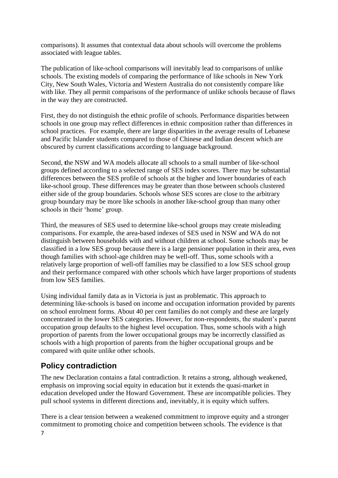comparisons). It assumes that contextual data about schools will overcome the problems associated with league tables.

The publication of like-school comparisons will inevitably lead to comparisons of unlike schools. The existing models of comparing the performance of like schools in New York City, New South Wales, Victoria and Western Australia do not consistently compare like with like. They all permit comparisons of the performance of unlike schools because of flaws in the way they are constructed.

First, they do not distinguish the ethnic profile of schools. Performance disparities between schools in one group may reflect differences in ethnic composition rather than differences in school practices. For example, there are large disparities in the average results of Lebanese and Pacific Islander students compared to those of Chinese and Indian descent which are obscured by current classifications according to language background.

Second, **t**he NSW and WA models allocate all schools to a small number of like-school groups defined according to a selected range of SES index scores. There may be substantial differences between the SES profile of schools at the higher and lower boundaries of each like-school group. These differences may be greater than those between schools clustered either side of the group boundaries. Schools whose SES scores are close to the arbitrary group boundary may be more like schools in another like-school group than many other schools in their 'home' group.

Third, the measures of SES used to determine like-school groups may create misleading comparisons. For example, the area-based indexes of SES used in NSW and WA do not distinguish between households with and without children at school. Some schools may be classified in a low SES group because there is a large pensioner population in their area, even though families with school-age children may be well-off. Thus, some schools with a relatively large proportion of well-off families may be classified to a low SES school group and their performance compared with other schools which have larger proportions of students from low SES families.

Using individual family data as in Victoria is just as problematic. This approach to determining like-schools is based on income and occupation information provided by parents on school enrolment forms. About 40 per cent families do not comply and these are largely concentrated in the lower SES categories. However, for non-respondents, the student's parent occupation group defaults to the highest level occupation. Thus, some schools with a high proportion of parents from the lower occupational groups may be incorrectly classified as schools with a high proportion of parents from the higher occupational groups and be compared with quite unlike other schools.

### **Policy contradiction**

The new Declaration contains a fatal contradiction. It retains a strong, although weakened, emphasis on improving social equity in education but it extends the quasi-market in education developed under the Howard Government. These are incompatible policies. They pull school systems in different directions and, inevitably, it is equity which suffers.

There is a clear tension between a weakened commitment to improve equity and a stronger commitment to promoting choice and competition between schools. The evidence is that